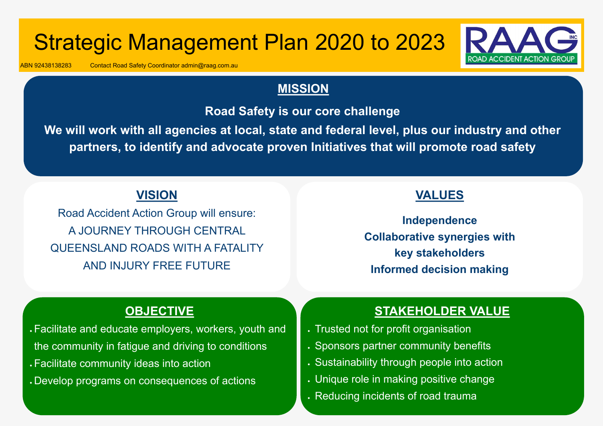### **VALUES**

**Independence Collaborative synergies with key stakeholders Informed decision making**

# Strategic Management Plan 2020 to 2023

**We will work with all agencies at local, state and federal level, plus our industry and other**  partners, to identify and advocate proven Initiatives that will promote road safety

ABN 92438138283 Contact Road Safety Coordinator admin@raag.com.au

### **MISSION**

**Road Safety is our core challenge**

### **OBJECTIVE**

• Facilitate and educate employers, workers, youth and

- the community in fatigue and driving to conditions
- Facilitate community ideas into action

• Develop programs on consequences of actions

## **STAKEHOLDER VALUE**

- Trusted not for profit organisation
- . Sponsors partner community benefits
- Sustainability through people into action
- Unique role in making positive change
- Reducing incidents of road trauma



- 
- 

## **VISION**

Road Accident Action Group will ensure: A JOURNEY THROUGH CENTRAL QUEENSLAND ROADS WITH A FATALITY AND INJURY FREE FUTURE